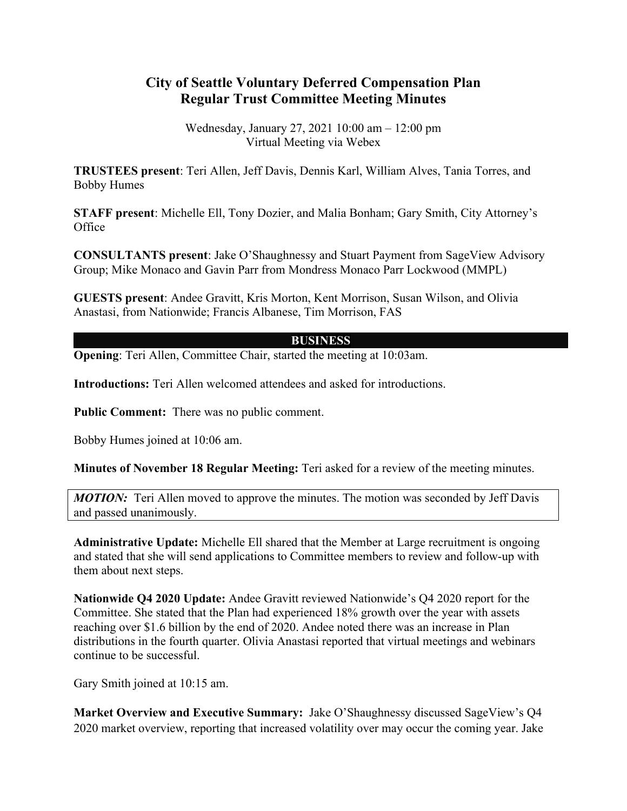## **City of Seattle Voluntary Deferred Compensation Plan Regular Trust Committee Meeting Minutes**

Wednesday, January 27, 2021 10:00 am – 12:00 pm Virtual Meeting via Webex

**TRUSTEES present**: Teri Allen, Jeff Davis, Dennis Karl, William Alves, Tania Torres, and Bobby Humes

**STAFF present**: Michelle Ell, Tony Dozier, and Malia Bonham; Gary Smith, City Attorney's Office

**CONSULTANTS present**: Jake O'Shaughnessy and Stuart Payment from SageView Advisory Group; Mike Monaco and Gavin Parr from Mondress Monaco Parr Lockwood (MMPL)

**GUESTS present**: Andee Gravitt, Kris Morton, Kent Morrison, Susan Wilson, and Olivia Anastasi, from Nationwide; Francis Albanese, Tim Morrison, FAS

## **BUSINESS**

**Opening:** Teri Allen, Committee Chair, started the meeting at 10:03am.

**Introductions:** Teri Allen welcomed attendees and asked for introductions.

**Public Comment:** There was no public comment.

Bobby Humes joined at 10:06 am.

**Minutes of November 18 Regular Meeting:** Teri asked for a review of the meeting minutes.

*MOTION:* Teri Allen moved to approve the minutes. The motion was seconded by Jeff Davis and passed unanimously.

**Administrative Update:** Michelle Ell shared that the Member at Large recruitment is ongoing and stated that she will send applications to Committee members to review and follow-up with them about next steps.

**Nationwide Q4 2020 Update:** Andee Gravitt reviewed Nationwide's Q4 2020 report for the Committee. She stated that the Plan had experienced 18% growth over the year with assets reaching over \$1.6 billion by the end of 2020. Andee noted there was an increase in Plan distributions in the fourth quarter. Olivia Anastasi reported that virtual meetings and webinars continue to be successful.

Gary Smith joined at 10:15 am.

**Market Overview and Executive Summary:** Jake O'Shaughnessy discussed SageView's Q4 2020 market overview, reporting that increased volatility over may occur the coming year. Jake